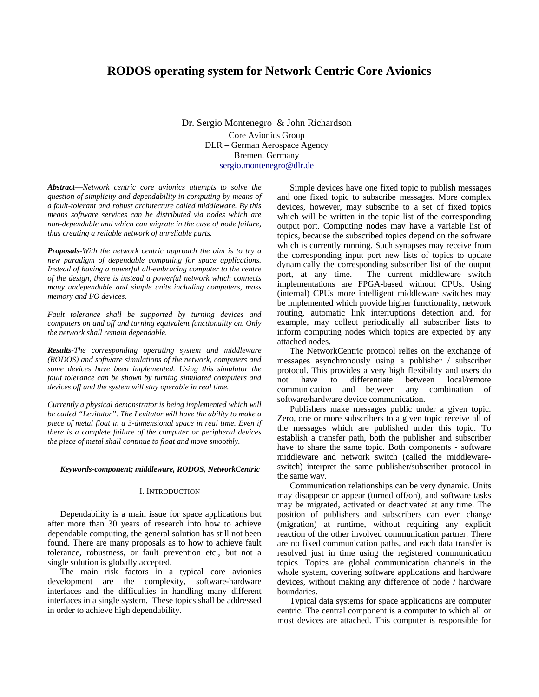# **RODOS operating system for Network Centric Core Avionics**

Dr. Sergio Montenegro & John Richardson Core Avionics Group DLR – German Aerospace Agency Bremen, Germany [sergio.montenegro@dlr.de](mailto:sergio.montenegro@dlr.de)

*Abstract—Network centric core avionics attempts to solve the question of simplicity and dependability in computing by means of a fault-tolerant and robust architecture called middleware. By this means software services can be distributed via nodes which are non-dependable and which can migrate in the case of node failure, thus creating a reliable network of unreliable parts.* 

*Proposals-With the network centric approach the aim is to try a new paradigm of dependable computing for space applications. Instead of having a powerful all-embracing computer to the centre of the design, there is instead a powerful network which connects many undependable and simple units including computers, mass memory and I/O devices.* 

*Fault tolerance shall be supported by turning devices and computers on and off and turning equivalent functionality on. Only the network shall remain dependable.* 

*Results-The corresponding operating system and middleware (RODOS) and software simulations of the network, computers and some devices have been implemented. Using this simulator the fault tolerance can be shown by turning simulated computers and devices off and the system will stay operable in real time.* 

*Currently a physical demonstrator is being implemented which will be called "Levitator". The Levitator will have the ability to make a piece of metal float in a 3-dimensional space in real time. Even if there is a complete failure of the computer or peripheral devices the piece of metal shall continue to float and move smoothly.* 

#### *Keywords-component; middleware, RODOS, NetworkCentric*

#### I. INTRODUCTION

Dependability is a main issue for space applications but after more than 30 years of research into how to achieve dependable computing, the general solution has still not been found. There are many proposals as to how to achieve fault tolerance, robustness, or fault prevention etc., but not a single solution is globally accepted.

The main risk factors in a typical core avionics development are the complexity, software-hardware interfaces and the difficulties in handling many different interfaces in a single system. These topics shall be addressed in order to achieve high dependability.

Simple devices have one fixed topic to publish messages and one fixed topic to subscribe messages. More complex devices, however, may subscribe to a set of fixed topics which will be written in the topic list of the corresponding output port. Computing nodes may have a variable list of topics, because the subscribed topics depend on the software which is currently running. Such synapses may receive from the corresponding input port new lists of topics to update dynamically the corresponding subscriber list of the output port, at any time. The current middleware switch implementations are FPGA-based without CPUs. Using (internal) CPUs more intelligent middleware switches may be implemented which provide higher functionality, network routing, automatic link interruptions detection and, for example, may collect periodically all subscriber lists to inform computing nodes which topics are expected by any attached nodes.

The NetworkCentric protocol relies on the exchange of messages asynchronously using a publisher / subscriber protocol. This provides a very high flexibility and users do not have to differentiate between local/remote communication and between any combination of software/hardware device communication.

Publishers make messages public under a given topic. Zero, one or more subscribers to a given topic receive all of the messages which are published under this topic. To establish a transfer path, both the publisher and subscriber have to share the same topic. Both components - software middleware and network switch (called the middlewareswitch) interpret the same publisher/subscriber protocol in the same way.

Communication relationships can be very dynamic. Units may disappear or appear (turned off/on), and software tasks may be migrated, activated or deactivated at any time. The position of publishers and subscribers can even change (migration) at runtime, without requiring any explicit reaction of the other involved communication partner. There are no fixed communication paths, and each data transfer is resolved just in time using the registered communication topics. Topics are global communication channels in the whole system, covering software applications and hardware devices, without making any difference of node / hardware boundaries.

Typical data systems for space applications are computer centric. The central component is a computer to which all or most devices are attached. This computer is responsible for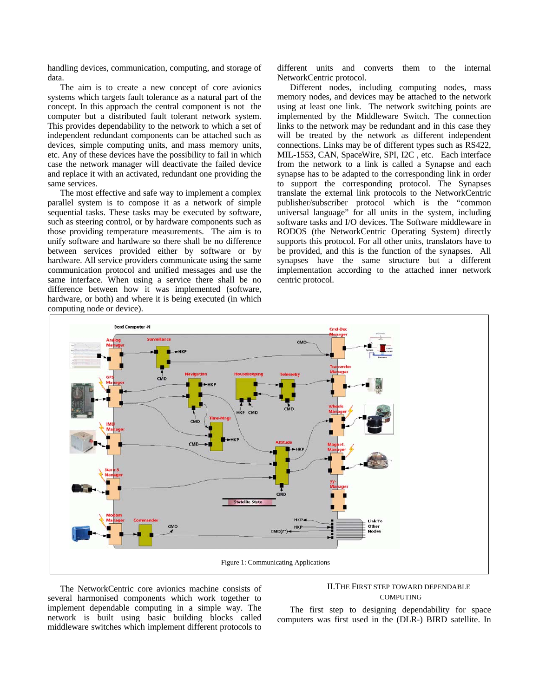handling devices, communication, computing, and storage of data.

The aim is to create a new concept of core avionics systems which targets fault tolerance as a natural part of the concept. In this approach the central component is not the computer but a distributed fault tolerant network system. This provides dependability to the network to which a set of independent redundant components can be attached such as devices, simple computing units, and mass memory units, etc. Any of these devices have the possibility to fail in which case the network manager will deactivate the failed device and replace it with an activated, redundant one providing the same services.

The most effective and safe way to implement a complex parallel system is to compose it as a network of simple sequential tasks. These tasks may be executed by software, such as steering control, or by hardware components such as those providing temperature measurements. The aim is to unify software and hardware so there shall be no difference between services provided either by software or by hardware. All service providers communicate using the same communication protocol and unified messages and use the same interface. When using a service there shall be no difference between how it was implemented (software, hardware, or both) and where it is being executed (in which computing node or device).

different units and converts them to the internal NetworkCentric protocol.

Different nodes, including computing nodes, mass memory nodes, and devices may be attached to the network using at least one link. The network switching points are implemented by the Middleware Switch. The connection links to the network may be redundant and in this case they will be treated by the network as different independent connections. Links may be of different types such as RS422, MIL-1553, CAN, SpaceWire, SPI, I2C , etc. Each interface from the network to a link is called a Synapse and each synapse has to be adapted to the corresponding link in order to support the corresponding protocol. The Synapses translate the external link protocols to the NetworkCentric publisher/subscriber protocol which is the "common universal language" for all units in the system, including software tasks and I/O devices. The Software middleware in RODOS (the NetworkCentric Operating System) directly supports this protocol. For all other units, translators have to be provided, and this is the function of the synapses. All synapses have the same structure but a different implementation according to the attached inner network centric protocol.



The NetworkCentric core avionics machine consists of several harmonised components which work together to implement dependable computing in a simple way. The network is built using basic building blocks called middleware switches which implement different protocols to

# II.THE FIRST STEP TOWARD DEPENDABLE COMPUTING

The first step to designing dependability for space computers was first used in the (DLR-) BIRD satellite. In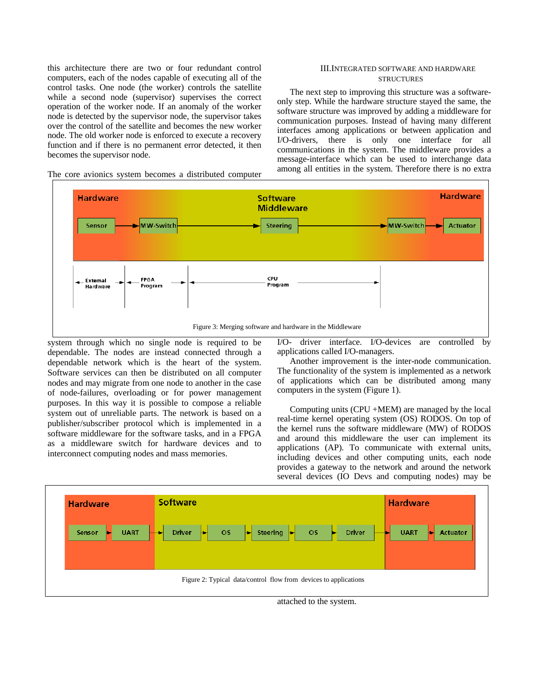this architecture there are two or four redundant control computers, each of the nodes capable of executing all of the control tasks. One node (the worker) controls the satellite while a second node (supervisor) supervises the correct operation of the worker node. If an anomaly of the worker node is detected by the supervisor node, the supervisor takes over the control of the satellite and becomes the new worker node. The old worker node is enforced to execute a recovery function and if there is no permanent error detected, it then becomes the supervisor node.

The core avionics system becomes a distributed computer

# III.INTEGRATED SOFTWARE AND HARDWARE **STRUCTURES**

The next step to improving this structure was a softwareonly step. While the hardware structure stayed the same, the software structure was improved by adding a middleware for communication purposes. Instead of having many different interfaces among applications or between application and I/O-drivers, there is only one interface for all communications in the system. The middleware provides a message-interface which can be used to interchange data among all entities in the system. Therefore there is no extra



system through which no single node is required to be dependable. The nodes are instead connected through a dependable network which is the heart of the system. Software services can then be distributed on all computer nodes and may migrate from one node to another in the case of node-failures, overloading or for power management purposes. In this way it is possible to compose a reliable system out of unreliable parts. The network is based on a publisher/subscriber protocol which is implemented in a software middleware for the software tasks, and in a FPGA as a middleware switch for hardware devices and to interconnect computing nodes and mass memories.

I/O- driver interface. I/O-devices are controlled by applications called I/O-managers.

Another improvement is the inter-node communication. The functionality of the system is implemented as a network of applications which can be distributed among many computers in the system (Figure 1).

Computing units (CPU +MEM) are managed by the local real-time kernel operating system (OS) RODOS. On top of the kernel runs the software middleware (MW) of RODOS and around this middleware the user can implement its applications (AP). To communicate with external units, including devices and other computing units, each node provides a gateway to the network and around the network several devices (IO Devs and computing nodes) may be



attached to the system.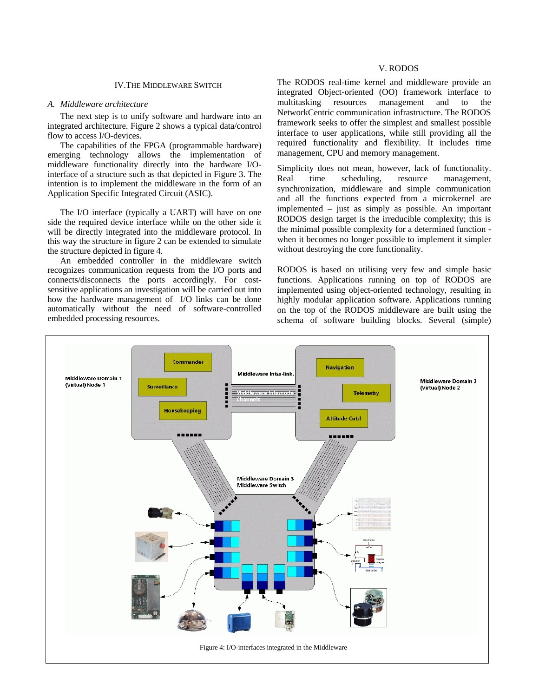### IV.THE MIDDLEWARE SWITCH

#### *A. Middleware architecture*

The next step is to unify software and hardware into an integrated architecture. Figure 2 shows a typical data/control flow to access I/O-devices.

The capabilities of the FPGA (programmable hardware) emerging technology allows the implementation of middleware functionality directly into the hardware I/Ointerface of a structure such as that depicted in Figure 3. The intention is to implement the middleware in the form of an Application Specific Integrated Circuit (ASIC).

The I/O interface (typically a UART) will have on one side the required device interface while on the other side it will be directly integrated into the middleware protocol. In this way the structure in figure 2 can be extended to simulate the structure depicted in figure 4.

An embedded controller in the middleware switch recognizes communication requests from the I/O ports and connects/disconnects the ports accordingly. For costsensitive applications an investigation will be carried out into how the hardware management of I/O links can be done automatically without the need of software-controlled embedded processing resources.

# V. RODOS

The RODOS real-time kernel and middleware provide an integrated Object-oriented (OO) framework interface to multitasking resources management and to the NetworkCentric communication infrastructure. The RODOS framework seeks to offer the simplest and smallest possible interface to user applications, while still providing all the required functionality and flexibility. It includes time management, CPU and memory management.

Simplicity does not mean, however, lack of functionality. Real time scheduling, resource management, synchronization, middleware and simple communication and all the functions expected from a microkernel are implemented – just as simply as possible. An important RODOS design target is the irreducible complexity; this is the minimal possible complexity for a determined function when it becomes no longer possible to implement it simpler without destroying the core functionality.

RODOS is based on utilising very few and simple basic functions. Applications running on top of RODOS are implemented using object-oriented technology, resulting in highly modular application software. Applications running on the top of the RODOS middleware are built using the schema of software building blocks. Several (simple)